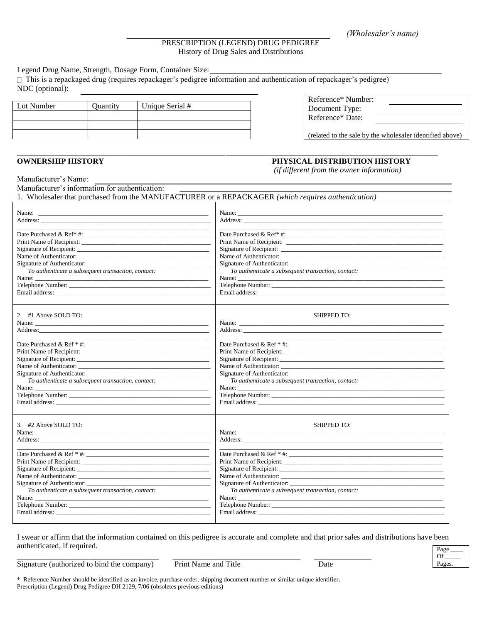## PRESCRIPTION (LEGEND) DRUG PEDIGREE History of Drug Sales and Distributions

\_\_\_\_\_\_\_\_\_\_\_\_\_\_\_\_\_\_\_\_\_\_\_\_\_\_\_\_\_\_\_\_\_\_\_\_\_\_\_\_\_\_\_\_\_\_\_\_\_\_\_\_\_\_\_\_\_\_\_\_\_\_\_\_\_\_\_\_\_\_\_\_\_\_\_\_\_\_\_\_\_\_\_\_\_\_\_\_\_\_\_\_\_\_\_\_\_\_\_\_\_\_\_\_\_\_\_

Legend Drug Name, Strength, Dosage Form, Container Size:

 $\Box$  This is a repackaged drug (requires repackager's pedigree information and authentication of repackager's pedigree) NDC (optional):

| Lot Number | Quantity | Unique Serial # |
|------------|----------|-----------------|
|            |          |                 |
|            |          |                 |
|            |          |                 |

| Reference* Number:<br>Document Type:<br>Reference* Date: |  |
|----------------------------------------------------------|--|
|----------------------------------------------------------|--|

(related to the sale by the wholesaler identified above)

## **OWNERSHIP HISTORY PHYSICAL DISTRIBUTION HISTORY**

*(if different from the owner information)*

Manufacturer's Name: Manufacturer's information for authentication:

1. Wholesaler that purchased from the MANUFACTURER or a REPACKAGER *(which requires authentication)*

| <u> The Communication of the Communication of the Communication of the Communication of the Communication of the Co</u> |                                                             |
|-------------------------------------------------------------------------------------------------------------------------|-------------------------------------------------------------|
| Date Purchased & Ref <sup>*</sup> #:                                                                                    |                                                             |
|                                                                                                                         |                                                             |
|                                                                                                                         |                                                             |
|                                                                                                                         |                                                             |
|                                                                                                                         |                                                             |
| To authenticate a subsequent transaction, contact:                                                                      | To authenticate a subsequent transaction, contact:          |
| Name:                                                                                                                   |                                                             |
| Telephone Number:                                                                                                       |                                                             |
|                                                                                                                         |                                                             |
| 2. #1 Above SOLD TO:                                                                                                    | <b>SHIPPED TO:</b>                                          |
|                                                                                                                         |                                                             |
|                                                                                                                         |                                                             |
|                                                                                                                         |                                                             |
|                                                                                                                         |                                                             |
|                                                                                                                         |                                                             |
|                                                                                                                         |                                                             |
| Name of Authenticator:                                                                                                  |                                                             |
|                                                                                                                         |                                                             |
| To authenticate a subsequent transaction, contact:                                                                      | To authenticate a subsequent transaction, contact:          |
|                                                                                                                         |                                                             |
| Telephone Number:                                                                                                       |                                                             |
|                                                                                                                         |                                                             |
| 3. #2 Above SOLD TO:                                                                                                    | <b>SHIPPED TO:</b>                                          |
|                                                                                                                         |                                                             |
|                                                                                                                         |                                                             |
| <u> 1989 - Johann John Stone, mars and de final de la provincia de la provincia de la provincia de la provincia d</u>   | <u> 1989 - Johann Stoff, amerikansk politiker (d. 1989)</u> |
|                                                                                                                         |                                                             |
| Print Name of Recipient:                                                                                                |                                                             |
|                                                                                                                         | Signature of Recipient:                                     |
|                                                                                                                         |                                                             |
|                                                                                                                         |                                                             |
| To authenticate a subsequent transaction, contact:                                                                      | To authenticate a subsequent transaction, contact:          |
|                                                                                                                         |                                                             |
|                                                                                                                         |                                                             |
|                                                                                                                         |                                                             |

I swear or affirm that the information contained on this pedigree is accurate and complete and that prior sales and distributions have been authenticated, if required.

Signature (authorized to bind the company) Print Name and Title Date

\* Reference Number should be identified as an invoice, purchase order, shipping document number or similar unique identifier. Prescription (Legend) Drug Pedigree DH 2129, 7/06 (obsoletes previous editions)